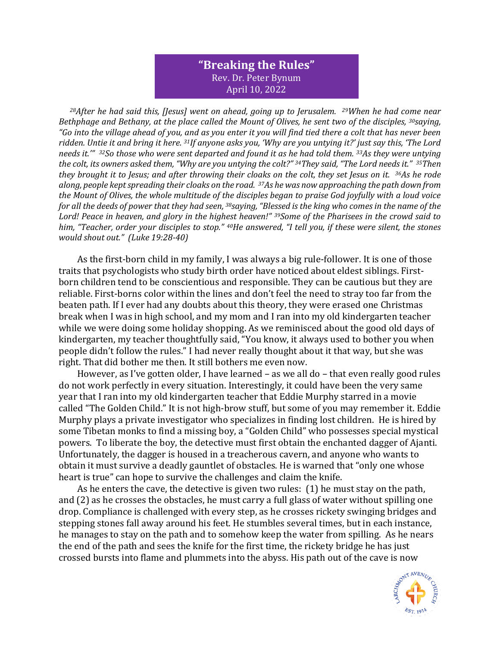## **"Breaking the Rules"** Rev. Dr. Peter Bynum April 10, 2022

*<sup>28</sup>After he had said this, [Jesus] went on ahead, going up to Jerusalem. 29When he had come near Bethphage and Bethany, at the place called the Mount of Olives, he sent two of the disciples, <sup>30</sup>saying, "Go into the village ahead of you, and as you enter it you will find tied there a colt that has never been ridden. Untie it and bring it here. 31If anyone asks you, 'Why are you untying it?' just say this, 'The Lord needs it.'" 32So those who were sent departed and found it as he had told them. 33As they were untying the colt, its owners asked them, "Why are you untying the colt?" 34They said, "The Lord needs it." 35Then they brought it to Jesus; and after throwing their cloaks on the colt, they set Jesus on it. 36As he rode along, people kept spreading their cloaks on the road. 37As he was now approaching the path down from the Mount of Olives, the whole multitude of the disciples began to praise God joyfully with a loud voice for all the deeds of power that they had seen, 38saying, "Blessed is the king who comes in the name of the Lord! Peace in heaven, and glory in the highest heaven!" 39Some of the Pharisees in the crowd said to him, "Teacher, order your disciples to stop." 40He answered, "I tell you, if these were silent, the stones would shout out." (Luke 19:28-40)*

As the first-born child in my family, I was always a big rule-follower. It is one of those traits that psychologists who study birth order have noticed about eldest siblings. Firstborn children tend to be conscientious and responsible. They can be cautious but they are reliable. First-borns color within the lines and don't feel the need to stray too far from the beaten path. If I ever had any doubts about this theory, they were erased one Christmas break when I was in high school, and my mom and I ran into my old kindergarten teacher while we were doing some holiday shopping. As we reminisced about the good old days of kindergarten, my teacher thoughtfully said, "You know, it always used to bother you when people didn't follow the rules." I had never really thought about it that way, but she was right. That did bother me then. It still bothers me even now.

However, as I've gotten older, I have learned – as we all do – that even really good rules do not work perfectly in every situation. Interestingly, it could have been the very same year that I ran into my old kindergarten teacher that Eddie Murphy starred in a movie called "The Golden Child." It is not high-brow stuff, but some of you may remember it. Eddie Murphy plays a private investigator who specializes in finding lost children. He is hired by some Tibetan monks to find a missing boy, a "Golden Child" who possesses special mystical powers. To liberate the boy, the detective must first obtain the enchanted dagger of Ajanti. Unfortunately, the dagger is housed in a treacherous cavern, and anyone who wants to obtain it must survive a deadly gauntlet of obstacles. He is warned that "only one whose heart is true" can hope to survive the challenges and claim the knife.

As he enters the cave, the detective is given two rules: (1) he must stay on the path, and (2) as he crosses the obstacles, he must carry a full glass of water without spilling one drop. Compliance is challenged with every step, as he crosses rickety swinging bridges and stepping stones fall away around his feet. He stumbles several times, but in each instance, he manages to stay on the path and to somehow keep the water from spilling. As he nears the end of the path and sees the knife for the first time, the rickety bridge he has just crossed bursts into flame and plummets into the abyss. His path out of the cave is now

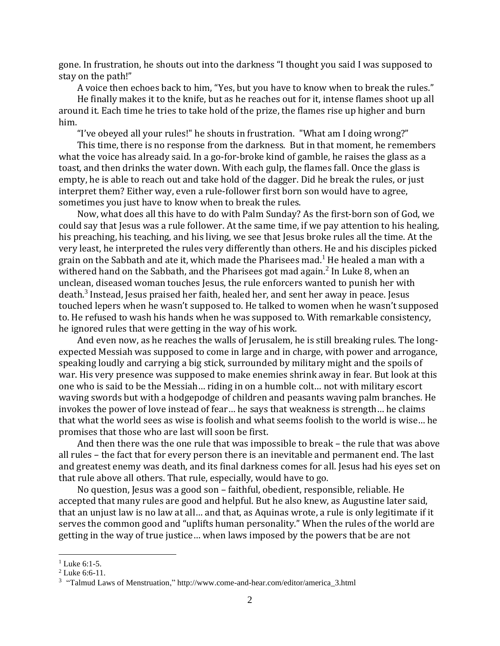gone. In frustration, he shouts out into the darkness "I thought you said I was supposed to stay on the path!"

A voice then echoes back to him, "Yes, but you have to know when to break the rules."

He finally makes it to the knife, but as he reaches out for it, intense flames shoot up all around it. Each time he tries to take hold of the prize, the flames rise up higher and burn him.

"I've obeyed all your rules!" he shouts in frustration. "What am I doing wrong?"

This time, there is no response from the darkness. But in that moment, he remembers what the voice has already said. In a go-for-broke kind of gamble, he raises the glass as a toast, and then drinks the water down. With each gulp, the flames fall. Once the glass is empty, he is able to reach out and take hold of the dagger. Did he break the rules, or just interpret them? Either way, even a rule-follower first born son would have to agree, sometimes you just have to know when to break the rules.

Now, what does all this have to do with Palm Sunday? As the first-born son of God, we could say that Jesus was a rule follower. At the same time, if we pay attention to his healing, his preaching, his teaching, and his living, we see that Jesus broke rules all the time. At the very least, he interpreted the rules very differently than others. He and his disciples picked grain on the Sabbath and ate it, which made the Pharisees mad.<sup>1</sup> He healed a man with a withered hand on the Sabbath, and the Pharisees got mad again. $^2$  In Luke 8, when an unclean, diseased woman touches Jesus, the rule enforcers wanted to punish her with death.<sup>3</sup> Instead, Jesus praised her faith, healed her, and sent her away in peace. Jesus touched lepers when he wasn't supposed to. He talked to women when he wasn't supposed to. He refused to wash his hands when he was supposed to. With remarkable consistency, he ignored rules that were getting in the way of his work.

And even now, as he reaches the walls of Jerusalem, he is still breaking rules. The longexpected Messiah was supposed to come in large and in charge, with power and arrogance, speaking loudly and carrying a big stick, surrounded by military might and the spoils of war. His very presence was supposed to make enemies shrink away in fear. But look at this one who is said to be the Messiah… riding in on a humble colt… not with military escort waving swords but with a hodgepodge of children and peasants waving palm branches. He invokes the power of love instead of fear… he says that weakness is strength… he claims that what the world sees as wise is foolish and what seems foolish to the world is wise… he promises that those who are last will soon be first.

And then there was the one rule that was impossible to break – the rule that was above all rules – the fact that for every person there is an inevitable and permanent end. The last and greatest enemy was death, and its final darkness comes for all. Jesus had his eyes set on that rule above all others. That rule, especially, would have to go.

No question, Jesus was a good son – faithful, obedient, responsible, reliable. He accepted that many rules are good and helpful. But he also knew, as Augustine later said, that an unjust law is no law at all… and that, as Aquinas wrote, a rule is only legitimate if it serves the common good and "uplifts human personality." When the rules of the world are getting in the way of true justice… when laws imposed by the powers that be are not

 $1$  Luke 6:1-5.

<sup>2</sup> Luke 6:6-11.

<sup>&</sup>lt;sup>3</sup> "Talmud Laws of Menstruation," [http://www.come-and-hear.com/editor/america\\_3.html](http://www.come-and-hear.com/editor/america_3.html)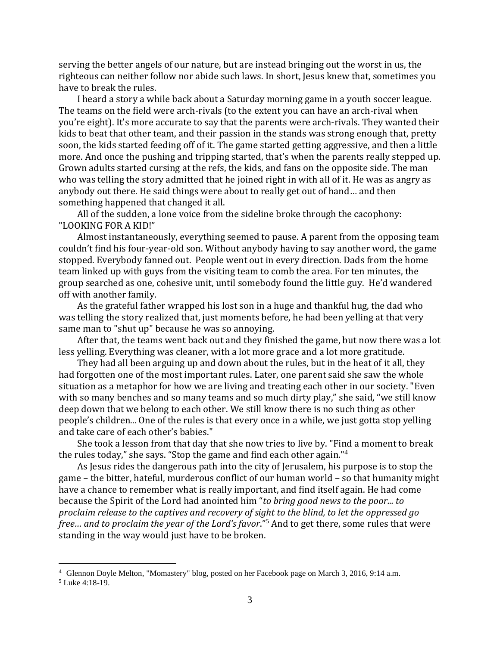serving the better angels of our nature, but are instead bringing out the worst in us, the righteous can neither follow nor abide such laws. In short, Jesus knew that, sometimes you have to break the rules.

I heard a story a while back about a Saturday morning game in a youth soccer league. The teams on the field were arch-rivals (to the extent you can have an arch-rival when you're eight). It's more accurate to say that the parents were arch-rivals. They wanted their kids to beat that other team, and their passion in the stands was strong enough that, pretty soon, the kids started feeding off of it. The game started getting aggressive, and then a little more. And once the pushing and tripping started, that's when the parents really stepped up. Grown adults started cursing at the refs, the kids, and fans on the opposite side. The man who was telling the story admitted that he joined right in with all of it. He was as angry as anybody out there. He said things were about to really get out of hand… and then something happened that changed it all.

All of the sudden, a lone voice from the sideline broke through the cacophony: "LOOKING FOR A KID!"

Almost instantaneously, everything seemed to pause. A parent from the opposing team couldn't find his four-year-old son. Without anybody having to say another word, the game stopped. Everybody fanned out. People went out in every direction. Dads from the home team linked up with guys from the visiting team to comb the area. For ten minutes, the group searched as one, cohesive unit, until somebody found the little guy. He'd wandered off with another family.

As the grateful father wrapped his lost son in a huge and thankful hug, the dad who was telling the story realized that, just moments before, he had been yelling at that very same man to "shut up" because he was so annoying.

After that, the teams went back out and they finished the game, but now there was a lot less yelling. Everything was cleaner, with a lot more grace and a lot more gratitude.

They had all been arguing up and down about the rules, but in the heat of it all, they had forgotten one of the most important rules. Later, one parent said she saw the whole situation as a metaphor for how we are living and treating each other in our society. "Even with so many benches and so many teams and so much dirty play," she said, "we still know deep down that we belong to each other. We still know there is no such thing as other people's children... One of the rules is that every once in a while, we just gotta stop yelling and take care of each other's babies."

She took a lesson from that day that she now tries to live by. "Find a moment to break the rules today," she says. "Stop the game and find each other again." 4

As Jesus rides the dangerous path into the city of Jerusalem, his purpose is to stop the game – the bitter, hateful, murderous conflict of our human world – so that humanity might have a chance to remember what is really important, and find itself again. He had come because the Spirit of the Lord had anointed him "*to bring good news to the poor... to proclaim release to the captives and recovery of sight to the blind, to let the oppressed go free… and to proclaim the year of the Lord's favor*."<sup>5</sup> And to get there, some rules that were standing in the way would just have to be broken.

<sup>4</sup> Glennon Doyle Melton, "Momastery" blog, posted on her Facebook page on March 3, 2016, 9:14 a.m.

<sup>5</sup> Luke 4:18-19.